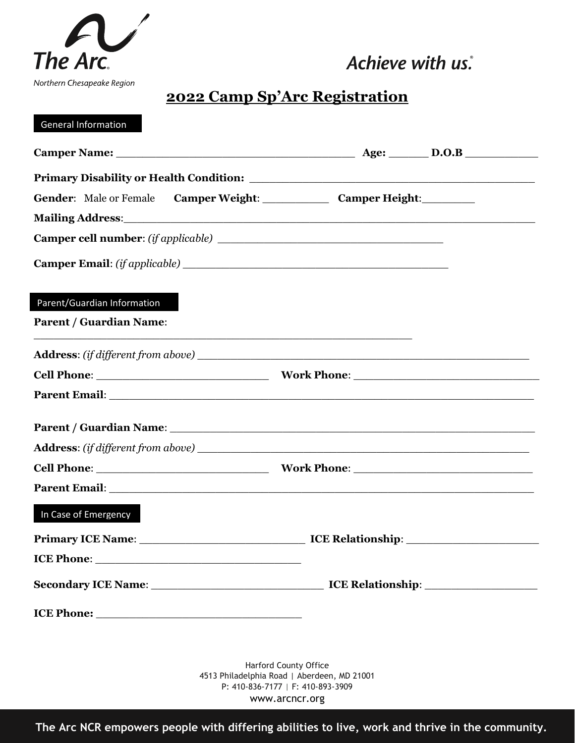

## **2022 Camp Sp'Arc Registration**

### General Information

| Mailing Address: 1988 and 2008 and 2008 and 2008 and 2008 and 2008 and 2008 and 2008 and 2008 and 2008 and 200 |                                                                                                                                                                                                                                      |
|----------------------------------------------------------------------------------------------------------------|--------------------------------------------------------------------------------------------------------------------------------------------------------------------------------------------------------------------------------------|
|                                                                                                                |                                                                                                                                                                                                                                      |
|                                                                                                                |                                                                                                                                                                                                                                      |
| Parent/Guardian Information                                                                                    |                                                                                                                                                                                                                                      |
| <b>Parent / Guardian Name:</b>                                                                                 |                                                                                                                                                                                                                                      |
|                                                                                                                |                                                                                                                                                                                                                                      |
|                                                                                                                |                                                                                                                                                                                                                                      |
|                                                                                                                | Parent Email: <u>and a series of the contract of the contract of the contract of the contract of the contract of the contract of the contract of the contract of the contract of the contract of the contract of the contract of</u> |
|                                                                                                                |                                                                                                                                                                                                                                      |
|                                                                                                                |                                                                                                                                                                                                                                      |
|                                                                                                                |                                                                                                                                                                                                                                      |
|                                                                                                                |                                                                                                                                                                                                                                      |
| In Case of Emergency                                                                                           |                                                                                                                                                                                                                                      |
|                                                                                                                | Primary ICE Name: ICE Relationship: ICE Relationship:                                                                                                                                                                                |
| ICE Phone:                                                                                                     |                                                                                                                                                                                                                                      |
|                                                                                                                |                                                                                                                                                                                                                                      |
|                                                                                                                |                                                                                                                                                                                                                                      |
|                                                                                                                |                                                                                                                                                                                                                                      |
|                                                                                                                | Harford County Office                                                                                                                                                                                                                |

4513 Philadelphia Road | Aberdeen, MD 21001 P: 410-836-7177 | F: 410-893-3909 www.arcncr.org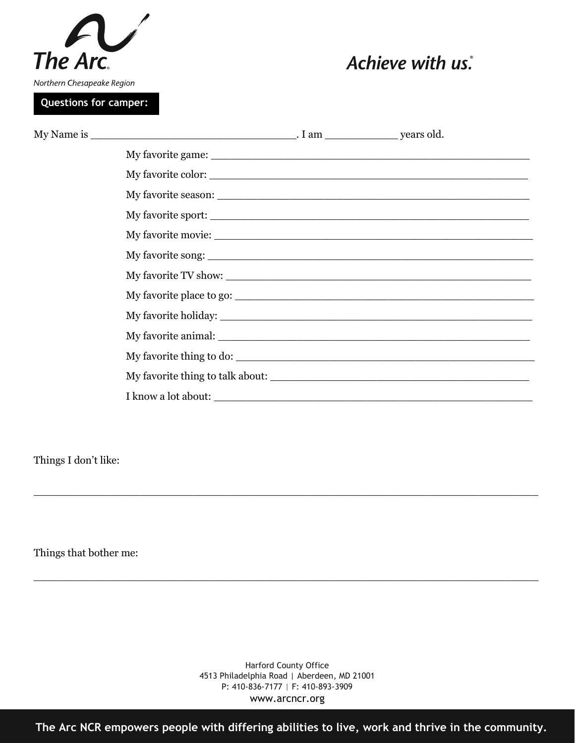

**Questions for camper:**

# Achieve with us.

| My favorite thing to do: |  |
|--------------------------|--|
|                          |  |
|                          |  |

Things I don't like:

Things that bother me:

Harford County Office 4513 Philadelphia Road | Aberdeen, MD 21001 P: 410-836-7177 | F: 410-893-3909 www.arcncr.org

\_\_\_\_\_\_\_\_\_\_\_\_\_\_\_\_\_\_\_\_\_\_\_\_\_\_\_\_\_\_\_\_\_\_\_\_\_\_\_\_\_\_\_\_\_\_\_\_\_\_\_\_\_\_\_\_\_\_\_\_\_\_\_\_\_\_\_\_\_\_\_\_\_\_\_\_

\_\_\_\_\_\_\_\_\_\_\_\_\_\_\_\_\_\_\_\_\_\_\_\_\_\_\_\_\_\_\_\_\_\_\_\_\_\_\_\_\_\_\_\_\_\_\_\_\_\_\_\_\_\_\_\_\_\_\_\_\_\_\_\_\_\_\_\_\_\_\_\_\_\_\_\_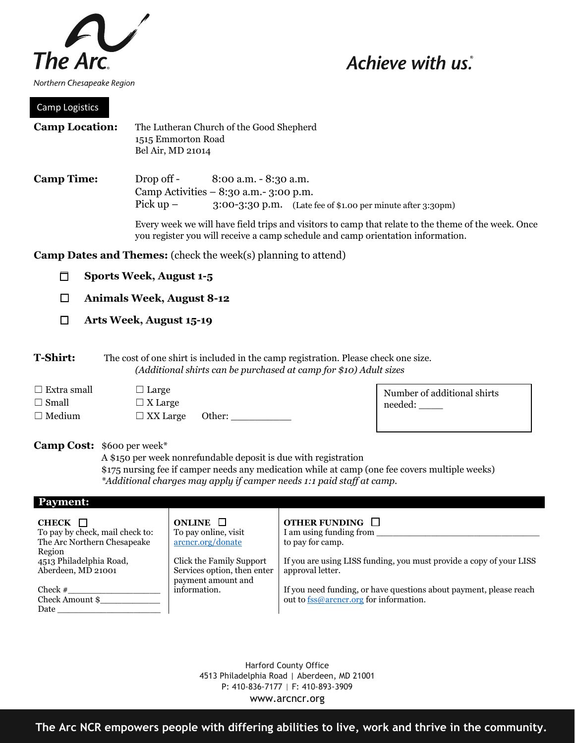

### Camp Logistics

| <b>Camp Location:</b> | The Lutheran Church of the Good Shepherd<br>1515 Emmorton Road<br>Bel Air, MD 21014                                                                                                    |  |
|-----------------------|----------------------------------------------------------------------------------------------------------------------------------------------------------------------------------------|--|
| <b>Camp Time:</b>     | Drop off -<br>$8:00$ a.m. $-8:30$ a.m.<br>Camp Activities $-8:30$ a.m.- 3:00 p.m.<br>Pick $up -$<br>$3:00-3:30$ p.m. (Late fee of \$1.00 per minute after $3:30$ pm)                   |  |
|                       | Every week we will have field trips and visitors to camp that relate to the theme of the week. Once<br>you register you will receive a camp schedule and camp orientation information. |  |
|                       | <b>Camp Dates and Themes:</b> (check the week(s) planning to attend)                                                                                                                   |  |
|                       | <b>Sports Week, August 1-5</b>                                                                                                                                                         |  |

- ☐ **Animals Week, August 8-12**
- ☐ **Arts Week, August 15-19**

**T-Shirt:** The cost of one shirt is included in the camp registration. Please check one size. *(Additional shirts can be purchased at camp for \$10) Adult sizes*

| $\Box$ Extra small | $\Box$ Large           |  |
|--------------------|------------------------|--|
| $\Box$ Small       | $\Box$ X Large         |  |
| $\Box$ Medium      | $\Box$ XX Large Other: |  |

Number of additional shirts needed: \_\_\_\_

#### **Camp Cost:** \$600 per week\*

A \$150 per week nonrefundable deposit is due with registration \$175 nursing fee if camper needs any medication while at camp (one fee covers multiple weeks) *\*Additional charges may apply if camper needs 1:1 paid staff at camp.*

#### **Payment:**

| CHECK $\Box$<br>To pay by check, mail check to:<br>The Arc Northern Chesapeake<br>Region | ONLINE $\Box$<br>To pay online, visit<br>arcncr.org/donate                    | OTHER FUNDING $\Box$<br>I am using funding from<br>to pay for camp.                                          |
|------------------------------------------------------------------------------------------|-------------------------------------------------------------------------------|--------------------------------------------------------------------------------------------------------------|
| 4513 Philadelphia Road,<br>Aberdeen, MD 21001                                            | Click the Family Support<br>Services option, then enter<br>payment amount and | If you are using LISS funding, you must provide a copy of your LISS<br>approval letter.                      |
| Check $#$<br>Check Amount \$<br>Date                                                     | information.                                                                  | If you need funding, or have questions about payment, please reach<br>out to fss@arcncr.org for information. |

Harford County Office 4513 Philadelphia Road | Aberdeen, MD 21001 P: 410-836-7177 | F: 410-893-3909 www.arcncr.org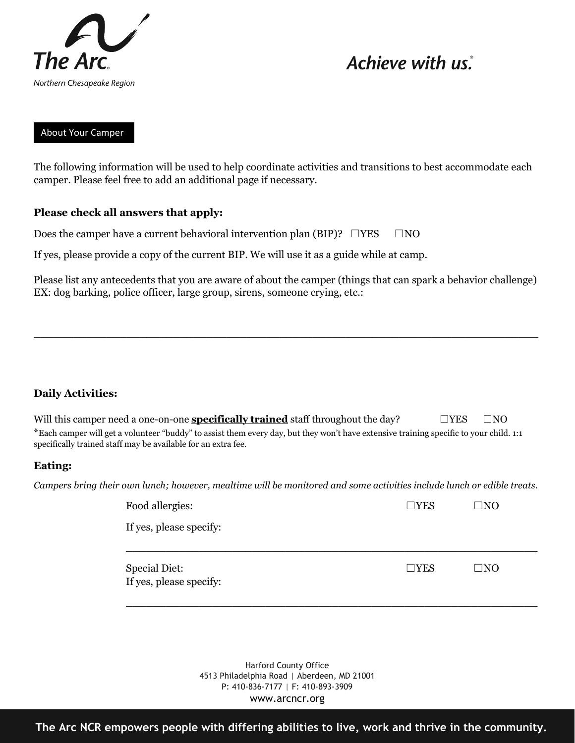

### About Your Camper

The following information will be used to help coordinate activities and transitions to best accommodate each camper. Please feel free to add an additional page if necessary.

### **Please check all answers that apply:**

Does the camper have a current behavioral intervention plan (BIP)?  $□YES \quad □NO$ 

If yes, please provide a copy of the current BIP. We will use it as a guide while at camp.

Please list any antecedents that you are aware of about the camper (things that can spark a behavior challenge) EX: dog barking, police officer, large group, sirens, someone crying, etc.:

\_\_\_\_\_\_\_\_\_\_\_\_\_\_\_\_\_\_\_\_\_\_\_\_\_\_\_\_\_\_\_\_\_\_\_\_\_\_\_\_\_\_\_\_\_\_\_\_\_\_\_\_\_\_\_\_\_\_\_\_\_\_\_\_\_\_\_\_\_\_\_\_\_\_\_\_

### **Daily Activities:**

| Will this camper need a one-on-one <b>specifically trained</b> staff throughout the day?                                               | $\square$ YES | $\square$ NO |
|----------------------------------------------------------------------------------------------------------------------------------------|---------------|--------------|
| *Each camper will get a volunteer "buddy" to assist them every day, but they won't have extensive training specific to your child. 1:1 |               |              |
| specifically trained staff may be available for an extra fee.                                                                          |               |              |

### **Eating:**

*Campers bring their own lunch; however, mealtime will be monitored and some activities include lunch or edible treats.*

| Food allergies:         | $\square \text{YES}$ | $\Box$ NO    |  |
|-------------------------|----------------------|--------------|--|
| If yes, please specify: |                      |              |  |
| <b>Special Diet:</b>    | $\Box$ YES           | $\square$ NO |  |
| If yes, please specify: |                      |              |  |

Harford County Office 4513 Philadelphia Road | Aberdeen, MD 21001 P: 410-836-7177 | F: 410-893-3909 www.arcncr.org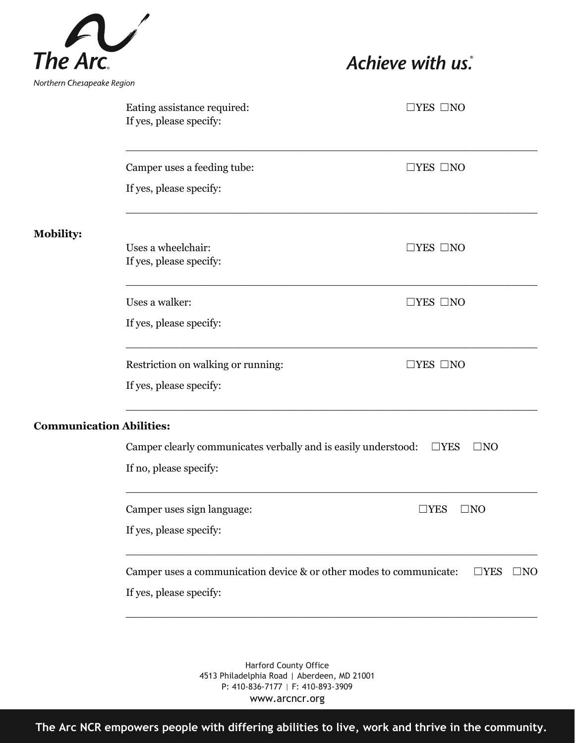

|                                 | Eating assistance required:<br>If yes, please specify:              | $\Box$ YES $\Box$ NO          |
|---------------------------------|---------------------------------------------------------------------|-------------------------------|
|                                 | Camper uses a feeding tube:                                         | $\Box$ YES $\Box$ NO          |
|                                 | If yes, please specify:                                             |                               |
| <b>Mobility:</b>                |                                                                     |                               |
|                                 | Uses a wheelchair:<br>If yes, please specify:                       | $\Box$ YES $\Box$ NO          |
|                                 | Uses a walker:                                                      | $\Box$ YES $\Box$ NO          |
|                                 | If yes, please specify:                                             |                               |
|                                 | Restriction on walking or running:                                  | $\Box$ YES $\Box$ NO          |
|                                 | If yes, please specify:                                             |                               |
| <b>Communication Abilities:</b> |                                                                     |                               |
|                                 | Camper clearly communicates verbally and is easily understood:      | $\Box$ YES<br>$\square$ NO    |
|                                 | If no, please specify:                                              |                               |
|                                 | Camper uses sign language:                                          | $\square$ YES<br>$\square$ NO |
|                                 | If yes, please specify:                                             |                               |
|                                 | Camper uses a communication device & or other modes to communicate: | $\Box$ YES<br>$\square$ NO    |
|                                 | If yes, please specify:                                             |                               |
|                                 |                                                                     |                               |

Harford County Office 4513 Philadelphia Road | Aberdeen, MD 21001 P: 410-836-7177 | F: 410-893-3909 www.arcncr.org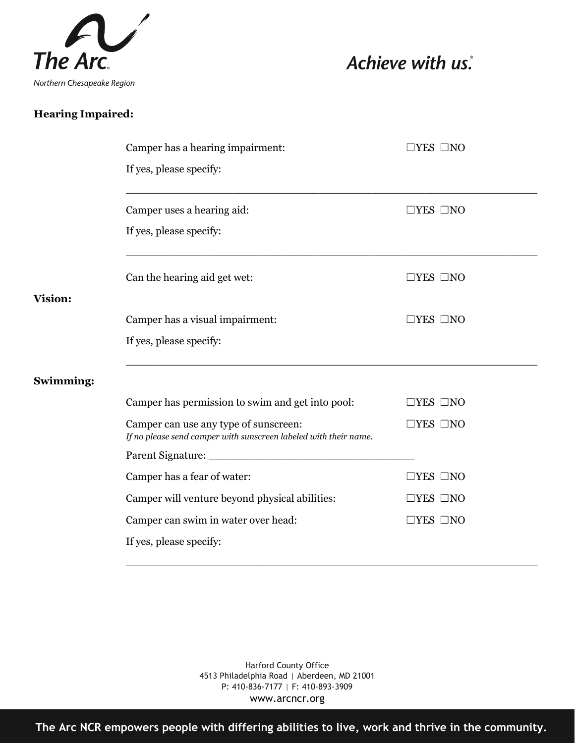

### **Hearing Impaired:**

|                | Camper has a hearing impairment:                                                                          | $\Box$ YES $\Box$ NO |
|----------------|-----------------------------------------------------------------------------------------------------------|----------------------|
|                | If yes, please specify:                                                                                   |                      |
|                | Camper uses a hearing aid:                                                                                | $\Box$ YES $\Box$ NO |
|                | If yes, please specify:                                                                                   |                      |
|                | Can the hearing aid get wet:                                                                              | $\Box$ YES $\Box$ NO |
| <b>Vision:</b> |                                                                                                           |                      |
|                | Camper has a visual impairment:                                                                           | $\Box$ YES $\Box$ NO |
|                | If yes, please specify:                                                                                   |                      |
| Swimming:      |                                                                                                           |                      |
|                | Camper has permission to swim and get into pool:                                                          | $\Box$ YES $\Box$ NO |
|                | Camper can use any type of sunscreen:<br>If no please send camper with sunscreen labeled with their name. | $\Box$ YES $\Box$ NO |
|                |                                                                                                           |                      |
|                | Camper has a fear of water:                                                                               | $\Box$ YES $\Box$ NO |
|                | Camper will venture beyond physical abilities:                                                            | $\Box$ YES $\Box$ NO |
|                | Camper can swim in water over head:                                                                       | $\Box$ YES $\Box$ NO |
|                | If yes, please specify:                                                                                   |                      |
|                |                                                                                                           |                      |

Harford County Office 4513 Philadelphia Road | Aberdeen, MD 21001 P: 410-836-7177 | F: 410-893-3909 www.arcncr.org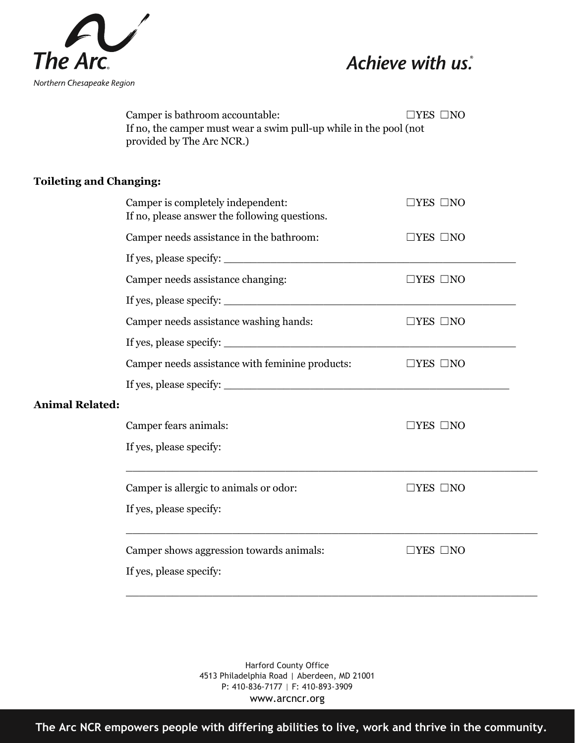

Camper is bathroom accountable: □YES □NO If no, the camper must wear a swim pull-up while in the pool (not provided by The Arc NCR.)

### **Toileting and Changing:**

|                        | Camper is completely independent:<br>If no, please answer the following questions. | $\Box$ YES $\Box$ NO    |
|------------------------|------------------------------------------------------------------------------------|-------------------------|
|                        | Camper needs assistance in the bathroom:                                           | $\Box$ YES $\Box$ NO    |
|                        |                                                                                    |                         |
|                        | Camper needs assistance changing:                                                  | $\Box$ YES $\Box$ NO    |
|                        |                                                                                    |                         |
|                        | Camper needs assistance washing hands:                                             | $\Box$ YES $\Box$ NO    |
|                        |                                                                                    |                         |
|                        | Camper needs assistance with feminine products:                                    | $\Box$ YES $\Box$ NO    |
|                        |                                                                                    |                         |
| <b>Animal Related:</b> |                                                                                    |                         |
|                        | Camper fears animals:                                                              | $\exists$ YES $\Box$ NO |
|                        | If yes, please specify:                                                            |                         |
|                        | Camper is allergic to animals or odor:                                             | $\Box$ YES $\Box$ NO    |
|                        | If yes, please specify:                                                            |                         |
|                        | Camper shows aggression towards animals:                                           | $\Box$ YES $\Box$ NO    |
|                        | If yes, please specify:                                                            |                         |

\_\_\_\_\_\_\_\_\_\_\_\_\_\_\_\_\_\_\_\_\_\_\_\_\_\_\_\_\_\_\_\_\_\_\_\_\_\_\_\_\_\_\_\_\_\_\_\_\_\_\_\_\_\_\_\_\_\_\_\_\_\_

Harford County Office 4513 Philadelphia Road | Aberdeen, MD 21001 P: 410-836-7177 | F: 410-893-3909 www.arcncr.org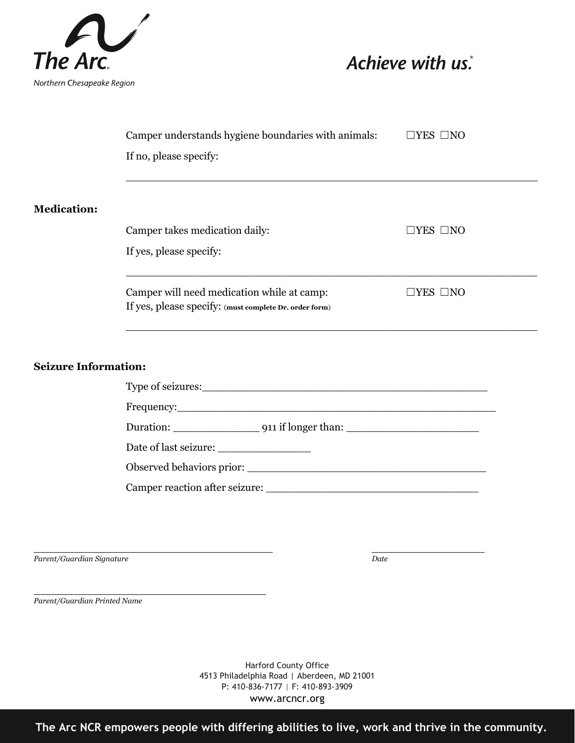

|                             | Camper understands hygiene boundaries with animals:                                                  | $\Box$ YES $\Box$ NO |
|-----------------------------|------------------------------------------------------------------------------------------------------|----------------------|
|                             | If no, please specify:                                                                               |                      |
|                             |                                                                                                      |                      |
| <b>Medication:</b>          |                                                                                                      |                      |
|                             | Camper takes medication daily:                                                                       | $\Box$ YES $\Box$ NO |
|                             | If yes, please specify:                                                                              |                      |
|                             | Camper will need medication while at camp:<br>If yes, please specify: (must complete Dr. order form) | $\Box$ YES $\Box$ NO |
| <b>Seizure Information:</b> |                                                                                                      |                      |
|                             | Type of seizures: Type of seizures:                                                                  |                      |
|                             |                                                                                                      |                      |
|                             |                                                                                                      |                      |
|                             |                                                                                                      |                      |
|                             |                                                                                                      |                      |
|                             |                                                                                                      |                      |

*Parent/Guardian Signature Date*

 $\_$  , and the set of the set of the set of the set of the set of the set of the set of the set of the set of the set of the set of the set of the set of the set of the set of the set of the set of the set of the set of th

\_\_\_\_\_\_\_\_\_\_\_\_\_\_\_\_\_\_\_\_\_\_\_\_\_\_\_\_\_\_\_\_\_\_\_ *Parent/Guardian Printed Name*

> Harford County Office 4513 Philadelphia Road | Aberdeen, MD 21001 P: 410-836-7177 | F: 410-893-3909 www.arcncr.org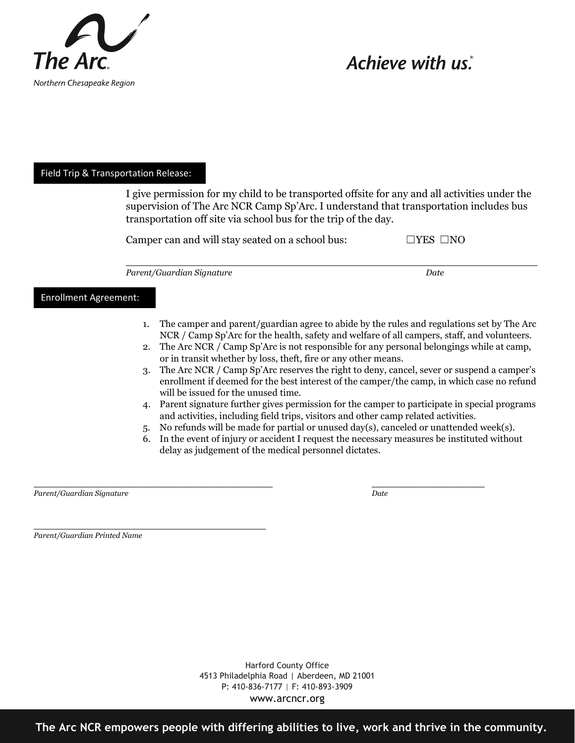

#### Field Trip & Transportation Release:

I give permission for my child to be transported offsite for any and all activities under the supervision of The Arc NCR Camp Sp'Arc. I understand that transportation includes bus transportation off site via school bus for the trip of the day.

 $\_$ 

|  | Camper can and will stay seated on a school bus: | $\Box$ YES $\Box$ NO |
|--|--------------------------------------------------|----------------------|
|--|--------------------------------------------------|----------------------|

Parent/Guardian Signature **Date** Date

#### Enrollment Agreement:

- 1. The camper and parent/guardian agree to abide by the rules and regulations set by The Arc NCR / Camp Sp'Arc for the health, safety and welfare of all campers, staff, and volunteers.
- 2. The Arc NCR / Camp Sp'Arc is not responsible for any personal belongings while at camp, or in transit whether by loss, theft, fire or any other means.
- 3. The Arc NCR / Camp Sp'Arc reserves the right to deny, cancel, sever or suspend a camper's enrollment if deemed for the best interest of the camper/the camp, in which case no refund will be issued for the unused time.
- 4. Parent signature further gives permission for the camper to participate in special programs and activities, including field trips, visitors and other camp related activities.
- 5. No refunds will be made for partial or unused day(s), canceled or unattended week(s).
- 6. In the event of injury or accident I request the necessary measures be instituted without delay as judgement of the medical personnel dictates.

 $\overline{\phantom{a}}$  , and the contract of the contract of the contract of the contract of the contract of the contract of the contract of the contract of the contract of the contract of the contract of the contract of the contrac *Parent/Guardian Signature Date*

*Parent/Guardian Printed Name* 

\_\_\_\_\_\_\_\_\_\_\_\_\_\_\_\_\_\_\_\_\_\_\_\_\_\_\_\_\_\_\_\_\_\_\_

Harford County Office 4513 Philadelphia Road | Aberdeen, MD 21001 P: 410-836-7177 | F: 410-893-3909 www.arcncr.org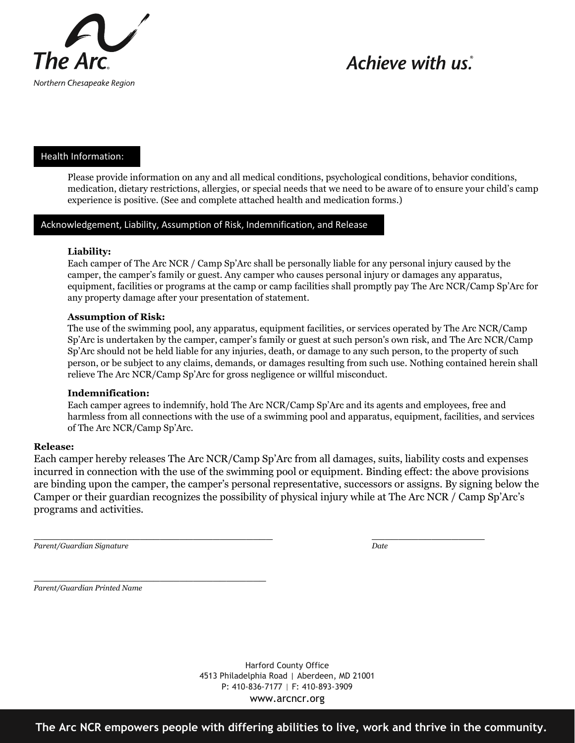

### Health Information:

Please provide information on any and all medical conditions, psychological conditions, behavior conditions, medication, dietary restrictions, allergies, or special needs that we need to be aware of to ensure your child's camp experience is positive. (See and complete attached health and medication forms.)

### Acknowledgement, Liability, Assumption of Risk, Indemnification, and Release

#### **Liability:**

Each camper of The Arc NCR / Camp Sp'Arc shall be personally liable for any personal injury caused by the camper, the camper's family or guest. Any camper who causes personal injury or damages any apparatus, equipment, facilities or programs at the camp or camp facilities shall promptly pay The Arc NCR/Camp Sp'Arc for any property damage after your presentation of statement.

#### **Assumption of Risk:**

The use of the swimming pool, any apparatus, equipment facilities, or services operated by The Arc NCR/Camp Sp'Arc is undertaken by the camper, camper's family or guest at such person's own risk, and The Arc NCR/Camp Sp'Arc should not be held liable for any injuries, death, or damage to any such person, to the property of such person, or be subject to any claims, demands, or damages resulting from such use. Nothing contained herein shall relieve The Arc NCR/Camp Sp'Arc for gross negligence or willful misconduct.

#### **Indemnification:**

Each camper agrees to indemnify, hold The Arc NCR/Camp Sp'Arc and its agents and employees, free and harmless from all connections with the use of a swimming pool and apparatus, equipment, facilities, and services of The Arc NCR/Camp Sp'Arc.

#### **Release:**

Each camper hereby releases The Arc NCR/Camp Sp'Arc from all damages, suits, liability costs and expenses incurred in connection with the use of the swimming pool or equipment. Binding effect: the above provisions are binding upon the camper, the camper's personal representative, successors or assigns. By signing below the Camper or their guardian recognizes the possibility of physical injury while at The Arc NCR / Camp Sp'Arc's programs and activities.

*Parent/Guardian Signature Date*

 $\overline{\phantom{a}}$  , and the contract of the contract of the contract of the contract of the contract of the contract of the contract of the contract of the contract of the contract of the contract of the contract of the contrac

\_\_\_\_\_\_\_\_\_\_\_\_\_\_\_\_\_\_\_\_\_\_\_\_\_\_\_\_\_\_\_\_\_\_\_ *Parent/Guardian Printed Name*

> Harford County Office 4513 Philadelphia Road | Aberdeen, MD 21001 P: 410-836-7177 | F: 410-893-3909 www.arcncr.org